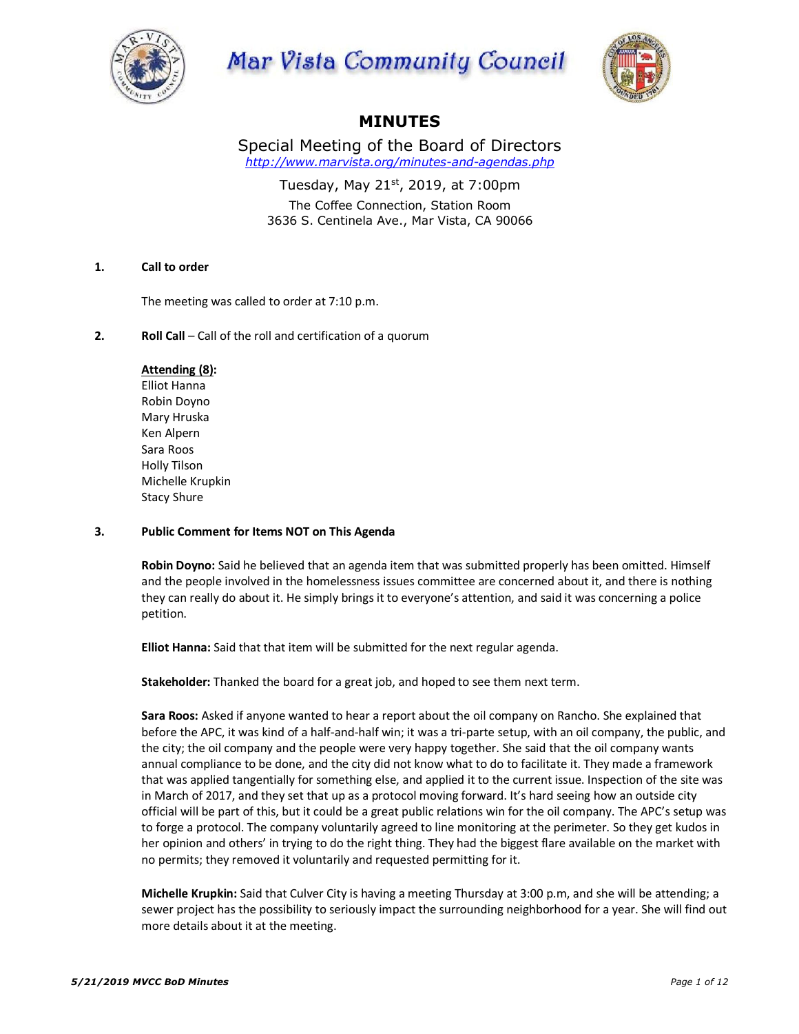

# Mar Vista Community Council



## **MINUTES**

Special Meeting of the Board of Directors *http://www.marvista.org/minutes-and-agendas.php*

Tuesday, May 21 $st$ , 2019, at 7:00pm The Coffee Connection, Station Room 3636 S. Centinela Ave., Mar Vista, CA 90066

## **1. Call to order**

The meeting was called to order at 7:10 p.m.

## **2. Roll Call** – Call of the roll and certification of a quorum

## **Attending (8):**

Elliot Hanna Robin Doyno Mary Hruska Ken Alpern Sara Roos Holly Tilson Michelle Krupkin Stacy Shure

## **3. Public Comment for Items NOT on This Agenda**

**Robin Doyno:** Said he believed that an agenda item that was submitted properly has been omitted. Himself and the people involved in the homelessness issues committee are concerned about it, and there is nothing they can really do about it. He simply brings it to everyone's attention, and said it was concerning a police petition.

**Elliot Hanna:** Said that that item will be submitted for the next regular agenda.

**Stakeholder:** Thanked the board for a great job, and hoped to see them next term.

**Sara Roos:** Asked if anyone wanted to hear a report about the oil company on Rancho. She explained that before the APC, it was kind of a half-and-half win; it was a tri-parte setup, with an oil company, the public, and the city; the oil company and the people were very happy together. She said that the oil company wants annual compliance to be done, and the city did not know what to do to facilitate it. They made a framework that was applied tangentially for something else, and applied it to the current issue. Inspection of the site was in March of 2017, and they set that up as a protocol moving forward. It's hard seeing how an outside city official will be part of this, but it could be a great public relations win for the oil company. The APC's setup was to forge a protocol. The company voluntarily agreed to line monitoring at the perimeter. So they get kudos in her opinion and others' in trying to do the right thing. They had the biggest flare available on the market with no permits; they removed it voluntarily and requested permitting for it.

**Michelle Krupkin:** Said that Culver City is having a meeting Thursday at 3:00 p.m, and she will be attending; a sewer project has the possibility to seriously impact the surrounding neighborhood for a year. She will find out more details about it at the meeting.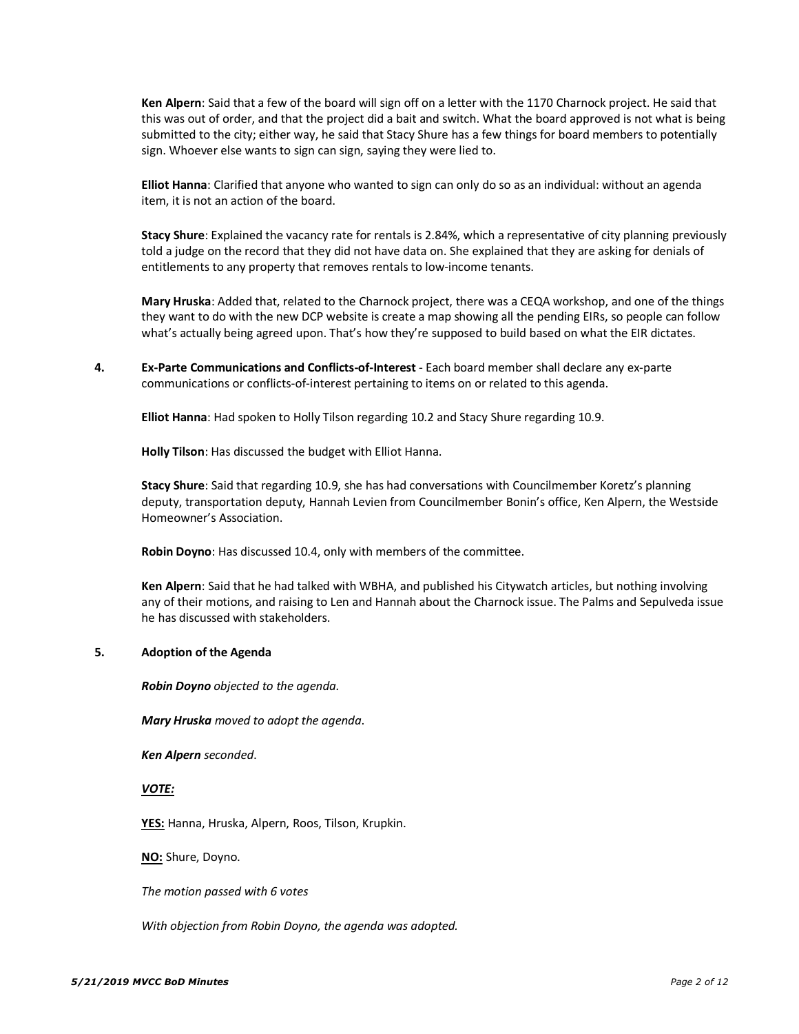**Ken Alpern**: Said that a few of the board will sign off on a letter with the 1170 Charnock project. He said that this was out of order, and that the project did a bait and switch. What the board approved is not what is being submitted to the city; either way, he said that Stacy Shure has a few things for board members to potentially sign. Whoever else wants to sign can sign, saying they were lied to.

**Elliot Hanna**: Clarified that anyone who wanted to sign can only do so as an individual: without an agenda item, it is not an action of the board.

**Stacy Shure**: Explained the vacancy rate for rentals is 2.84%, which a representative of city planning previously told a judge on the record that they did not have data on. She explained that they are asking for denials of entitlements to any property that removes rentals to low-income tenants.

**Mary Hruska**: Added that, related to the Charnock project, there was a CEQA workshop, and one of the things they want to do with the new DCP website is create a map showing all the pending EIRs, so people can follow what's actually being agreed upon. That's how they're supposed to build based on what the EIR dictates.

**4. Ex-Parte Communications and Conflicts-of-Interest** - Each board member shall declare any ex-parte communications or conflicts-of-interest pertaining to items on or related to this agenda.

**Elliot Hanna**: Had spoken to Holly Tilson regarding 10.2 and Stacy Shure regarding 10.9.

**Holly Tilson**: Has discussed the budget with Elliot Hanna.

**Stacy Shure**: Said that regarding 10.9, she has had conversations with Councilmember Koretz's planning deputy, transportation deputy, Hannah Levien from Councilmember Bonin's office, Ken Alpern, the Westside Homeowner's Association.

**Robin Doyno**: Has discussed 10.4, only with members of the committee.

**Ken Alpern**: Said that he had talked with WBHA, and published his Citywatch articles, but nothing involving any of their motions, and raising to Len and Hannah about the Charnock issue. The Palms and Sepulveda issue he has discussed with stakeholders.

## **5. Adoption of the Agenda**

*Robin Doyno objected to the agenda.*

*Mary Hruska moved to adopt the agenda*.

*Ken Alpern seconded*.

#### *VOTE:*

**YES:** Hanna, Hruska, Alpern, Roos, Tilson, Krupkin.

**NO:** Shure, Doyno.

*The motion passed with 6 votes*

*With objection from Robin Doyno, the agenda was adopted.*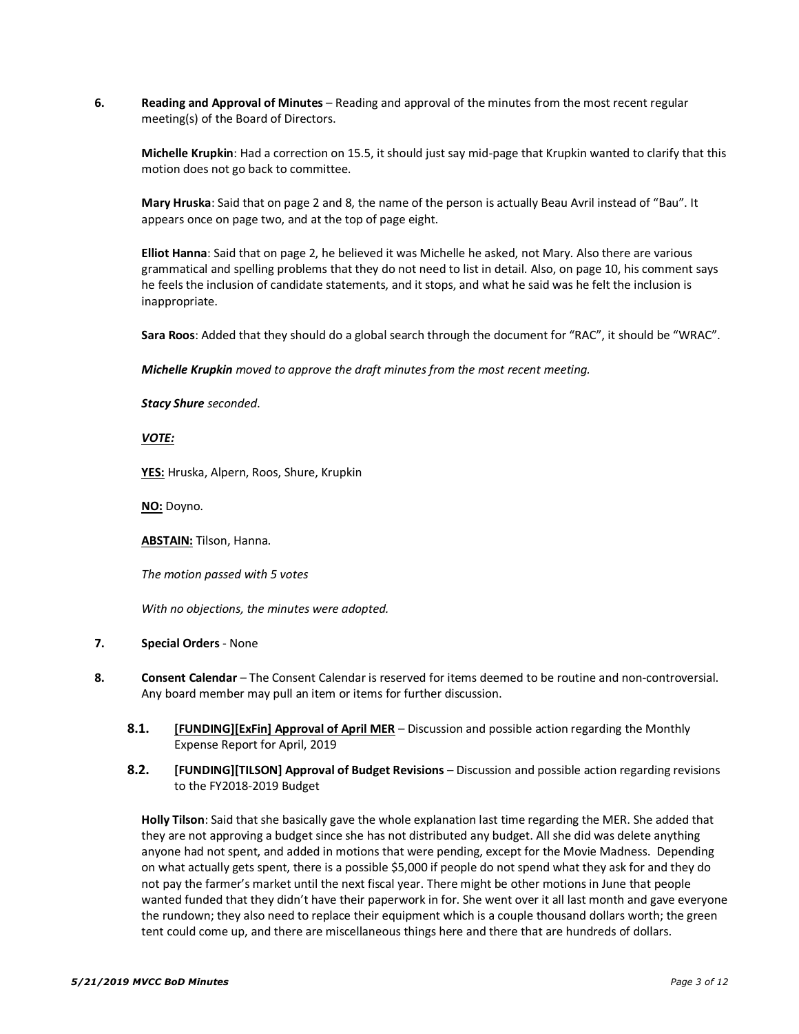**6. Reading and Approval of Minutes** – Reading and approval of the minutes from the most recent regular meeting(s) of the Board of Directors.

**Michelle Krupkin**: Had a correction on 15.5, it should just say mid-page that Krupkin wanted to clarify that this motion does not go back to committee.

**Mary Hruska**: Said that on page 2 and 8, the name of the person is actually Beau Avril instead of "Bau". It appears once on page two, and at the top of page eight.

**Elliot Hanna**: Said that on page 2, he believed it was Michelle he asked, not Mary. Also there are various grammatical and spelling problems that they do not need to list in detail. Also, on page 10, his comment says he feels the inclusion of candidate statements, and it stops, and what he said was he felt the inclusion is inappropriate.

**Sara Roos**: Added that they should do a global search through the document for "RAC", it should be "WRAC".

*Michelle Krupkin moved to approve the draft minutes from the most recent meeting.*

*Stacy Shure seconded*.

*VOTE:*

**YES:** Hruska, Alpern, Roos, Shure, Krupkin

**NO:** Doyno.

**ABSTAIN:** Tilson, Hanna.

*The motion passed with 5 votes*

*With no objections, the minutes were adopted.*

## **7. Special Orders** - None

- **8. Consent Calendar**  The Consent Calendar is reserved for items deemed to be routine and non-controversial. Any board member may pull an item or items for further discussion.
	- **8.1. [FUNDING][ExFin] Approval of April MER** Discussion and possible action regarding the Monthly Expense Report for April, 2019

## **8.2. [FUNDING][TILSON] Approval of Budget Revisions** – Discussion and possible action regarding revisions to the FY2018-2019 Budget

**Holly Tilson**: Said that she basically gave the whole explanation last time regarding the MER. She added that they are not approving a budget since she has not distributed any budget. All she did was delete anything anyone had not spent, and added in motions that were pending, except for the Movie Madness. Depending on what actually gets spent, there is a possible \$5,000 if people do not spend what they ask for and they do not pay the farmer's market until the next fiscal year. There might be other motions in June that people wanted funded that they didn't have their paperwork in for. She went over it all last month and gave everyone the rundown; they also need to replace their equipment which is a couple thousand dollars worth; the green tent could come up, and there are miscellaneous things here and there that are hundreds of dollars.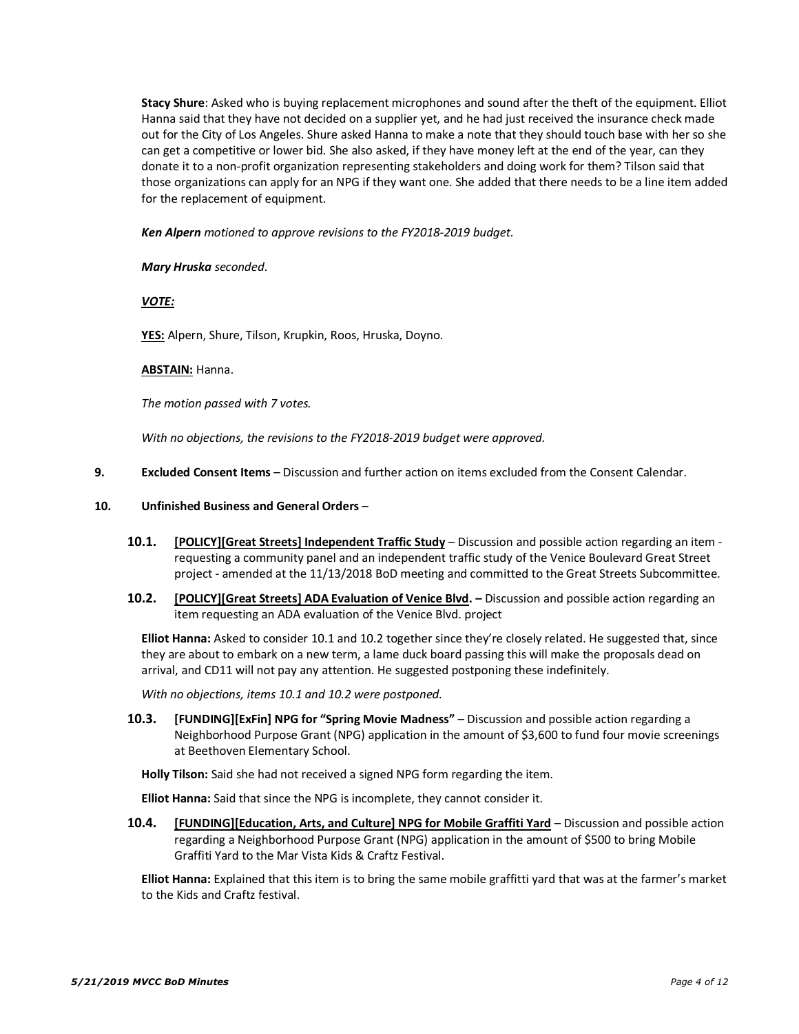**Stacy Shure**: Asked who is buying replacement microphones and sound after the theft of the equipment. Elliot Hanna said that they have not decided on a supplier yet, and he had just received the insurance check made out for the City of Los Angeles. Shure asked Hanna to make a note that they should touch base with her so she can get a competitive or lower bid. She also asked, if they have money left at the end of the year, can they donate it to a non-profit organization representing stakeholders and doing work for them? Tilson said that those organizations can apply for an NPG if they want one. She added that there needs to be a line item added for the replacement of equipment.

*Ken Alpern motioned to approve revisions to the FY2018-2019 budget.*

## *Mary Hruska seconded*.

*VOTE:*

**YES:** Alpern, Shure, Tilson, Krupkin, Roos, Hruska, Doyno.

## **ABSTAIN:** Hanna.

*The motion passed with 7 votes.*

*With no objections, the revisions to the FY2018-2019 budget were approved.*

**9. Excluded Consent Items** – Discussion and further action on items excluded from the Consent Calendar.

## **10. Unfinished Business and General Orders** –

- **10.1. [POLICY][Great Streets] Independent Traffic Study** Discussion and possible action regarding an item requesting a community panel and an independent traffic study of the Venice Boulevard Great Street project - amended at the 11/13/2018 BoD meeting and committed to the Great Streets Subcommittee.
- **10.2. [POLICY][Great Streets] ADA Evaluation of Venice Blvd. –** Discussion and possible action regarding an item requesting an ADA evaluation of the Venice Blvd. project

**Elliot Hanna:** Asked to consider 10.1 and 10.2 together since they're closely related. He suggested that, since they are about to embark on a new term, a lame duck board passing this will make the proposals dead on arrival, and CD11 will not pay any attention. He suggested postponing these indefinitely.

*With no objections, items 10.1 and 10.2 were postponed.*

**10.3. [FUNDING][ExFin] NPG for "Spring Movie Madness"** – Discussion and possible action regarding a Neighborhood Purpose Grant (NPG) application in the amount of \$3,600 to fund four movie screenings at Beethoven Elementary School.

**Holly Tilson:** Said she had not received a signed NPG form regarding the item.

**Elliot Hanna:** Said that since the NPG is incomplete, they cannot consider it.

**10.4. [FUNDING][Education, Arts, and Culture] NPG for Mobile Graffiti Yard** – Discussion and possible action regarding a Neighborhood Purpose Grant (NPG) application in the amount of \$500 to bring Mobile Graffiti Yard to the Mar Vista Kids & Craftz Festival.

**Elliot Hanna:** Explained that this item is to bring the same mobile graffitti yard that was at the farmer's market to the Kids and Craftz festival.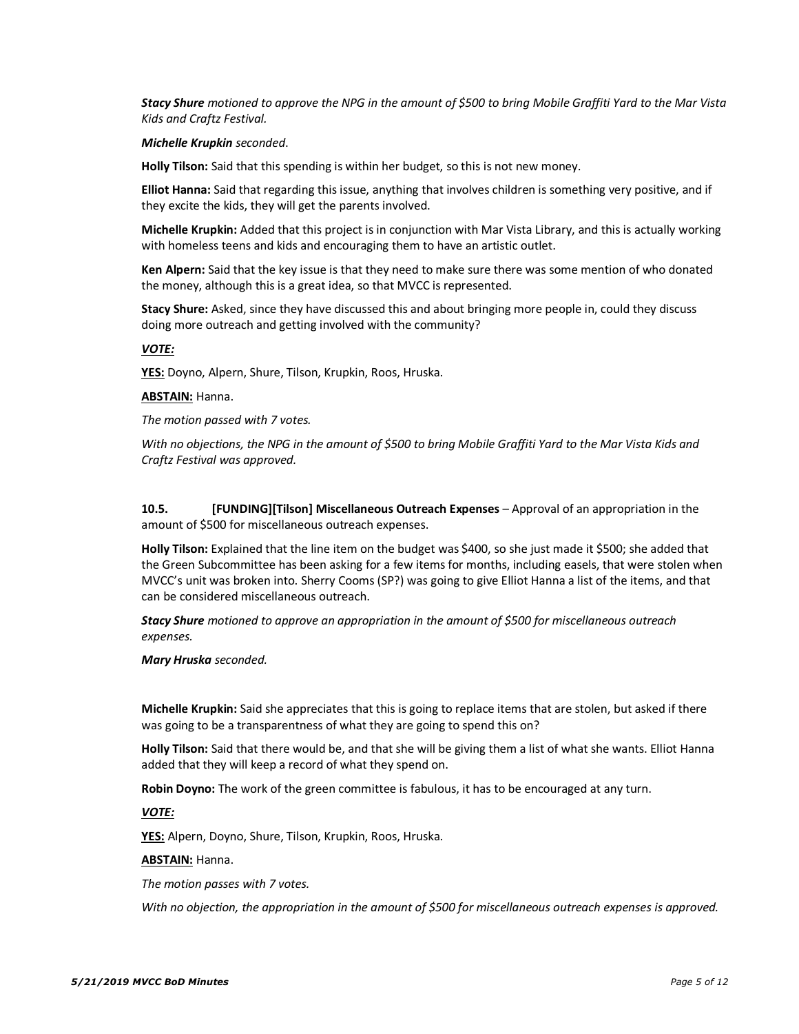*Stacy Shure motioned to approve the NPG in the amount of \$500 to bring Mobile Graffiti Yard to the Mar Vista Kids and Craftz Festival.*

#### *Michelle Krupkin seconded*.

**Holly Tilson:** Said that this spending is within her budget, so this is not new money.

**Elliot Hanna:** Said that regarding this issue, anything that involves children is something very positive, and if they excite the kids, they will get the parents involved.

**Michelle Krupkin:** Added that this project is in conjunction with Mar Vista Library, and this is actually working with homeless teens and kids and encouraging them to have an artistic outlet.

**Ken Alpern:** Said that the key issue is that they need to make sure there was some mention of who donated the money, although this is a great idea, so that MVCC is represented.

**Stacy Shure:** Asked, since they have discussed this and about bringing more people in, could they discuss doing more outreach and getting involved with the community?

#### *VOTE:*

**YES:** Doyno, Alpern, Shure, Tilson, Krupkin, Roos, Hruska.

#### **ABSTAIN:** Hanna.

*The motion passed with 7 votes.*

*With no objections, the NPG in the amount of \$500 to bring Mobile Graffiti Yard to the Mar Vista Kids and Craftz Festival was approved.*

**10.5. [FUNDING][Tilson] Miscellaneous Outreach Expenses** – Approval of an appropriation in the amount of \$500 for miscellaneous outreach expenses.

**Holly Tilson:** Explained that the line item on the budget was \$400, so she just made it \$500; she added that the Green Subcommittee has been asking for a few items for months, including easels, that were stolen when MVCC's unit was broken into. Sherry Cooms (SP?) was going to give Elliot Hanna a list of the items, and that can be considered miscellaneous outreach.

*Stacy Shure motioned to approve an appropriation in the amount of \$500 for miscellaneous outreach expenses.*

#### *Mary Hruska seconded.*

**Michelle Krupkin:** Said she appreciates that this is going to replace items that are stolen, but asked if there was going to be a transparentness of what they are going to spend this on?

**Holly Tilson:** Said that there would be, and that she will be giving them a list of what she wants. Elliot Hanna added that they will keep a record of what they spend on.

**Robin Doyno:** The work of the green committee is fabulous, it has to be encouraged at any turn.

#### *VOTE:*

**YES:** Alpern, Doyno, Shure, Tilson, Krupkin, Roos, Hruska.

#### **ABSTAIN:** Hanna.

*The motion passes with 7 votes.*

*With no objection, the appropriation in the amount of \$500 for miscellaneous outreach expenses is approved.*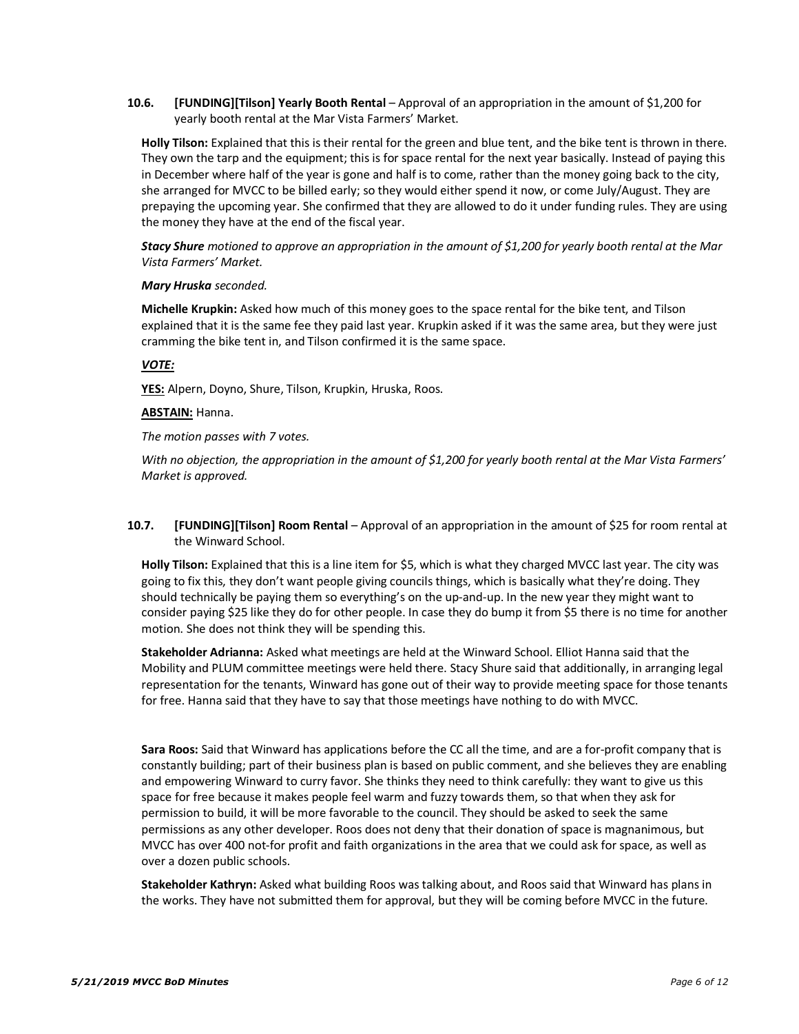**10.6. [FUNDING][Tilson] Yearly Booth Rental** – Approval of an appropriation in the amount of \$1,200 for yearly booth rental at the Mar Vista Farmers' Market.

**Holly Tilson:** Explained that this is their rental for the green and blue tent, and the bike tent is thrown in there. They own the tarp and the equipment; this is for space rental for the next year basically. Instead of paying this in December where half of the year is gone and half is to come, rather than the money going back to the city, she arranged for MVCC to be billed early; so they would either spend it now, or come July/August. They are prepaying the upcoming year. She confirmed that they are allowed to do it under funding rules. They are using the money they have at the end of the fiscal year.

*Stacy Shure motioned to approve an appropriation in the amount of \$1,200 for yearly booth rental at the Mar Vista Farmers' Market.*

#### *Mary Hruska seconded.*

**Michelle Krupkin:** Asked how much of this money goes to the space rental for the bike tent, and Tilson explained that it is the same fee they paid last year. Krupkin asked if it was the same area, but they were just cramming the bike tent in, and Tilson confirmed it is the same space.

## *VOTE:*

**YES:** Alpern, Doyno, Shure, Tilson, Krupkin, Hruska, Roos.

## **ABSTAIN:** Hanna.

*The motion passes with 7 votes.*

*With no objection, the appropriation in the amount of \$1,200 for yearly booth rental at the Mar Vista Farmers' Market is approved.*

**10.7. [FUNDING][Tilson] Room Rental** – Approval of an appropriation in the amount of \$25 for room rental at the Winward School.

**Holly Tilson:** Explained that this is a line item for \$5, which is what they charged MVCC last year. The city was going to fix this, they don't want people giving councils things, which is basically what they're doing. They should technically be paying them so everything's on the up-and-up. In the new year they might want to consider paying \$25 like they do for other people. In case they do bump it from \$5 there is no time for another motion. She does not think they will be spending this.

**Stakeholder Adrianna:** Asked what meetings are held at the Winward School. Elliot Hanna said that the Mobility and PLUM committee meetings were held there. Stacy Shure said that additionally, in arranging legal representation for the tenants, Winward has gone out of their way to provide meeting space for those tenants for free. Hanna said that they have to say that those meetings have nothing to do with MVCC.

**Sara Roos:** Said that Winward has applications before the CC all the time, and are a for-profit company that is constantly building; part of their business plan is based on public comment, and she believes they are enabling and empowering Winward to curry favor. She thinks they need to think carefully: they want to give us this space for free because it makes people feel warm and fuzzy towards them, so that when they ask for permission to build, it will be more favorable to the council. They should be asked to seek the same permissions as any other developer. Roos does not deny that their donation of space is magnanimous, but MVCC has over 400 not-for profit and faith organizations in the area that we could ask for space, as well as over a dozen public schools.

**Stakeholder Kathryn:** Asked what building Roos was talking about, and Roos said that Winward has plans in the works. They have not submitted them for approval, but they will be coming before MVCC in the future.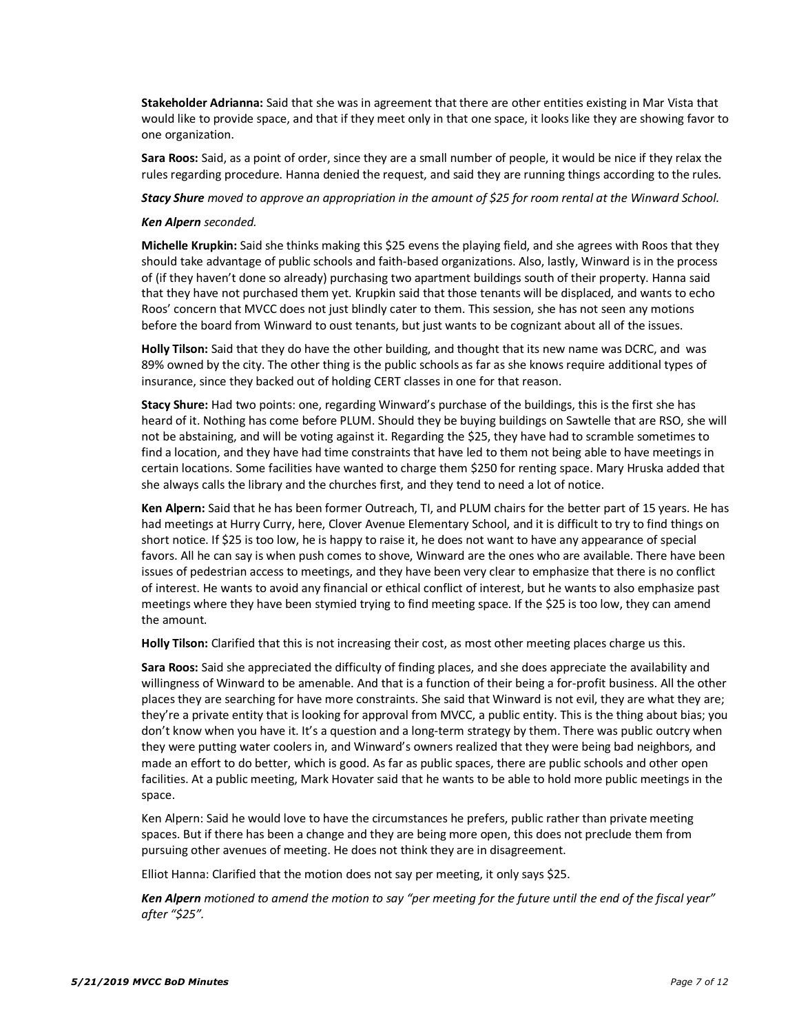**Stakeholder Adrianna:** Said that she was in agreement that there are other entities existing in Mar Vista that would like to provide space, and that if they meet only in that one space, it looks like they are showing favor to one organization.

**Sara Roos:** Said, as a point of order, since they are a small number of people, it would be nice if they relax the rules regarding procedure. Hanna denied the request, and said they are running things according to the rules.

*Stacy Shure moved to approve an appropriation in the amount of \$25 for room rental at the Winward School.*

#### *Ken Alpern seconded.*

**Michelle Krupkin:** Said she thinks making this \$25 evens the playing field, and she agrees with Roos that they should take advantage of public schools and faith-based organizations. Also, lastly, Winward is in the process of (if they haven't done so already) purchasing two apartment buildings south of their property. Hanna said that they have not purchased them yet. Krupkin said that those tenants will be displaced, and wants to echo Roos' concern that MVCC does not just blindly cater to them. This session, she has not seen any motions before the board from Winward to oust tenants, but just wants to be cognizant about all of the issues.

**Holly Tilson:** Said that they do have the other building, and thought that its new name was DCRC, and was 89% owned by the city. The other thing is the public schools as far as she knows require additional types of insurance, since they backed out of holding CERT classes in one for that reason.

**Stacy Shure:** Had two points: one, regarding Winward's purchase of the buildings, this is the first she has heard of it. Nothing has come before PLUM. Should they be buying buildings on Sawtelle that are RSO, she will not be abstaining, and will be voting against it. Regarding the \$25, they have had to scramble sometimes to find a location, and they have had time constraints that have led to them not being able to have meetings in certain locations. Some facilities have wanted to charge them \$250 for renting space. Mary Hruska added that she always calls the library and the churches first, and they tend to need a lot of notice.

**Ken Alpern:** Said that he has been former Outreach, TI, and PLUM chairs for the better part of 15 years. He has had meetings at Hurry Curry, here, Clover Avenue Elementary School, and it is difficult to try to find things on short notice. If \$25 is too low, he is happy to raise it, he does not want to have any appearance of special favors. All he can say is when push comes to shove, Winward are the ones who are available. There have been issues of pedestrian access to meetings, and they have been very clear to emphasize that there is no conflict of interest. He wants to avoid any financial or ethical conflict of interest, but he wants to also emphasize past meetings where they have been stymied trying to find meeting space. If the \$25 is too low, they can amend the amount.

**Holly Tilson:** Clarified that this is not increasing their cost, as most other meeting places charge us this.

**Sara Roos:** Said she appreciated the difficulty of finding places, and she does appreciate the availability and willingness of Winward to be amenable. And that is a function of their being a for-profit business. All the other places they are searching for have more constraints. She said that Winward is not evil, they are what they are; they're a private entity that is looking for approval from MVCC, a public entity. This is the thing about bias; you don't know when you have it. It's a question and a long-term strategy by them. There was public outcry when they were putting water coolers in, and Winward's owners realized that they were being bad neighbors, and made an effort to do better, which is good. As far as public spaces, there are public schools and other open facilities. At a public meeting, Mark Hovater said that he wants to be able to hold more public meetings in the space.

Ken Alpern: Said he would love to have the circumstances he prefers, public rather than private meeting spaces. But if there has been a change and they are being more open, this does not preclude them from pursuing other avenues of meeting. He does not think they are in disagreement.

Elliot Hanna: Clarified that the motion does not say per meeting, it only says \$25.

*Ken Alpern motioned to amend the motion to say "per meeting for the future until the end of the fiscal year" after "\$25".*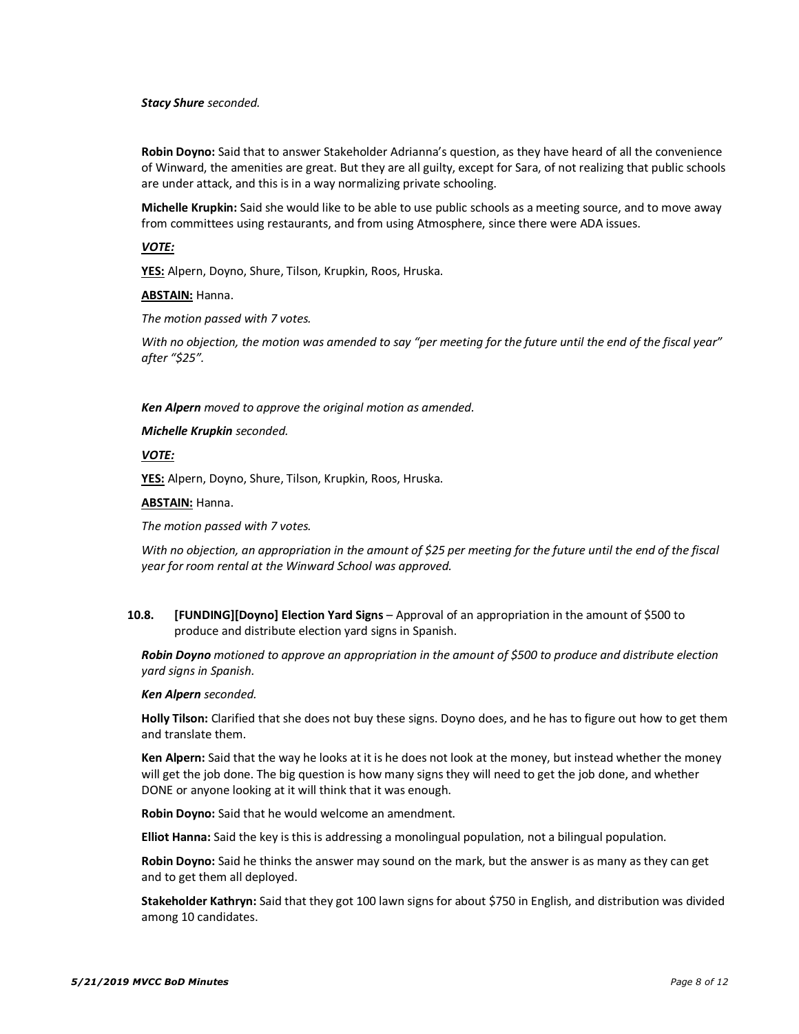#### *Stacy Shure seconded.*

**Robin Doyno:** Said that to answer Stakeholder Adrianna's question, as they have heard of all the convenience of Winward, the amenities are great. But they are all guilty, except for Sara, of not realizing that public schools are under attack, and this is in a way normalizing private schooling.

**Michelle Krupkin:** Said she would like to be able to use public schools as a meeting source, and to move away from committees using restaurants, and from using Atmosphere, since there were ADA issues.

#### *VOTE:*

**YES:** Alpern, Doyno, Shure, Tilson, Krupkin, Roos, Hruska.

#### **ABSTAIN:** Hanna.

*The motion passed with 7 votes.* 

*With no objection, the motion was amended to say "per meeting for the future until the end of the fiscal year" after "\$25".*

#### *Ken Alpern moved to approve the original motion as amended.*

*Michelle Krupkin seconded.*

## *VOTE:*

**YES:** Alpern, Doyno, Shure, Tilson, Krupkin, Roos, Hruska.

#### **ABSTAIN:** Hanna.

*The motion passed with 7 votes.*

*With no objection, an appropriation in the amount of \$25 per meeting for the future until the end of the fiscal year for room rental at the Winward School was approved.*

**10.8. [FUNDING][Doyno] Election Yard Signs** – Approval of an appropriation in the amount of \$500 to produce and distribute election yard signs in Spanish.

*Robin Doyno motioned to approve an appropriation in the amount of \$500 to produce and distribute election yard signs in Spanish.*

#### *Ken Alpern seconded.*

**Holly Tilson:** Clarified that she does not buy these signs. Doyno does, and he has to figure out how to get them and translate them.

**Ken Alpern:** Said that the way he looks at it is he does not look at the money, but instead whether the money will get the job done. The big question is how many signs they will need to get the job done, and whether DONE or anyone looking at it will think that it was enough.

**Robin Doyno:** Said that he would welcome an amendment.

**Elliot Hanna:** Said the key is this is addressing a monolingual population, not a bilingual population.

**Robin Doyno:** Said he thinks the answer may sound on the mark, but the answer is as many as they can get and to get them all deployed.

**Stakeholder Kathryn:** Said that they got 100 lawn signs for about \$750 in English, and distribution was divided among 10 candidates.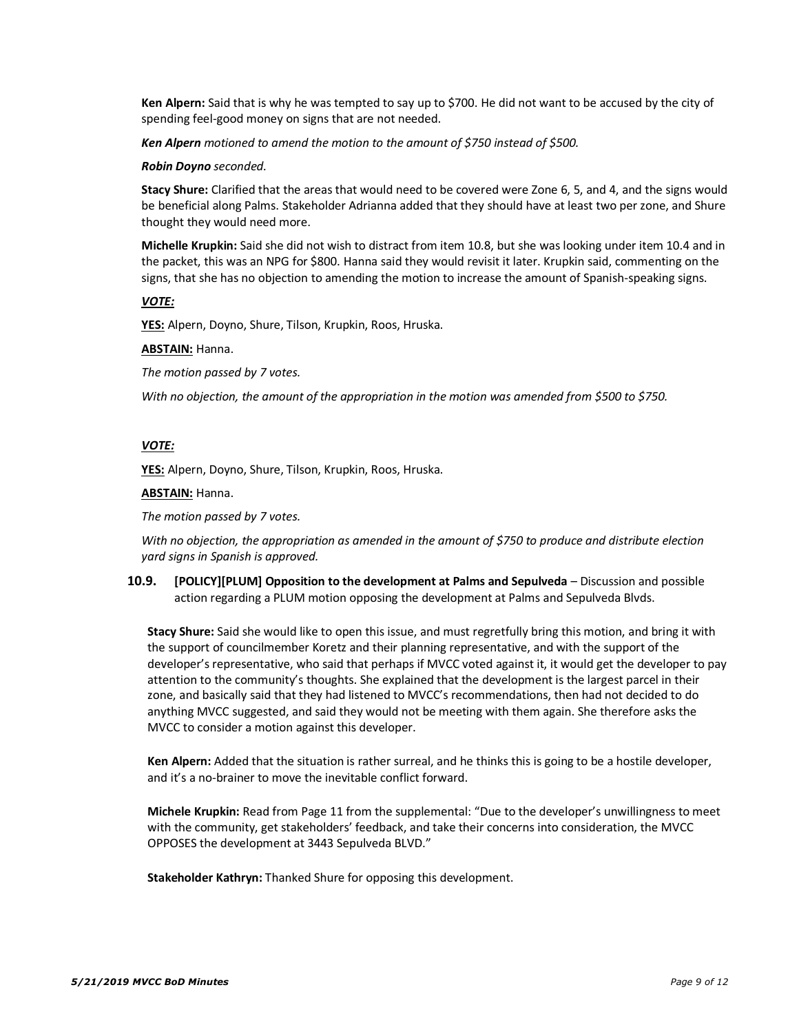**Ken Alpern:** Said that is why he was tempted to say up to \$700. He did not want to be accused by the city of spending feel-good money on signs that are not needed.

*Ken Alpern motioned to amend the motion to the amount of \$750 instead of \$500.*

#### *Robin Doyno seconded.*

**Stacy Shure:** Clarified that the areas that would need to be covered were Zone 6, 5, and 4, and the signs would be beneficial along Palms. Stakeholder Adrianna added that they should have at least two per zone, and Shure thought they would need more.

**Michelle Krupkin:** Said she did not wish to distract from item 10.8, but she was looking under item 10.4 and in the packet, this was an NPG for \$800. Hanna said they would revisit it later. Krupkin said, commenting on the signs, that she has no objection to amending the motion to increase the amount of Spanish-speaking signs.

## *VOTE:*

**YES:** Alpern, Doyno, Shure, Tilson, Krupkin, Roos, Hruska.

#### **ABSTAIN:** Hanna.

*The motion passed by 7 votes.*

*With no objection, the amount of the appropriation in the motion was amended from \$500 to \$750.*

## *VOTE:*

**YES:** Alpern, Doyno, Shure, Tilson, Krupkin, Roos, Hruska.

#### **ABSTAIN:** Hanna.

*The motion passed by 7 votes.*

*With no objection, the appropriation as amended in the amount of \$750 to produce and distribute election yard signs in Spanish is approved.*

**10.9. [POLICY][PLUM] Opposition to the development at Palms and Sepulveda** – Discussion and possible action regarding a PLUM motion opposing the development at Palms and Sepulveda Blvds.

**Stacy Shure:** Said she would like to open this issue, and must regretfully bring this motion, and bring it with the support of councilmember Koretz and their planning representative, and with the support of the developer's representative, who said that perhaps if MVCC voted against it, it would get the developer to pay attention to the community's thoughts. She explained that the development is the largest parcel in their zone, and basically said that they had listened to MVCC's recommendations, then had not decided to do anything MVCC suggested, and said they would not be meeting with them again. She therefore asks the MVCC to consider a motion against this developer.

**Ken Alpern:** Added that the situation is rather surreal, and he thinks this is going to be a hostile developer, and it's a no-brainer to move the inevitable conflict forward.

**Michele Krupkin:** Read from Page 11 from the supplemental: "Due to the developer's unwillingness to meet with the community, get stakeholders' feedback, and take their concerns into consideration, the MVCC OPPOSES the development at 3443 Sepulveda BLVD."

**Stakeholder Kathryn:** Thanked Shure for opposing this development.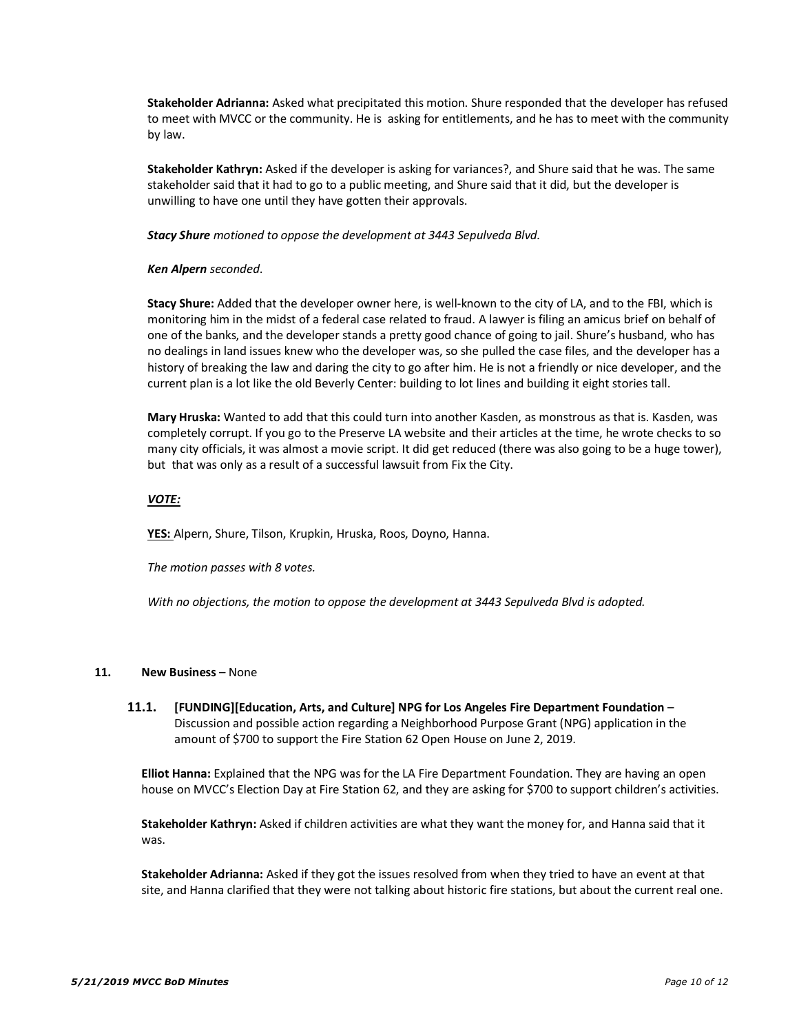**Stakeholder Adrianna:** Asked what precipitated this motion. Shure responded that the developer has refused to meet with MVCC or the community. He is asking for entitlements, and he has to meet with the community by law.

**Stakeholder Kathryn:** Asked if the developer is asking for variances?, and Shure said that he was. The same stakeholder said that it had to go to a public meeting, and Shure said that it did, but the developer is unwilling to have one until they have gotten their approvals.

*Stacy Shure motioned to oppose the development at 3443 Sepulveda Blvd.*

## *Ken Alpern seconded*.

**Stacy Shure:** Added that the developer owner here, is well-known to the city of LA, and to the FBI, which is monitoring him in the midst of a federal case related to fraud. A lawyer is filing an amicus brief on behalf of one of the banks, and the developer stands a pretty good chance of going to jail. Shure's husband, who has no dealings in land issues knew who the developer was, so she pulled the case files, and the developer has a history of breaking the law and daring the city to go after him. He is not a friendly or nice developer, and the current plan is a lot like the old Beverly Center: building to lot lines and building it eight stories tall.

**Mary Hruska:** Wanted to add that this could turn into another Kasden, as monstrous as that is. Kasden, was completely corrupt. If you go to the Preserve LA website and their articles at the time, he wrote checks to so many city officials, it was almost a movie script. It did get reduced (there was also going to be a huge tower), but that was only as a result of a successful lawsuit from Fix the City.

## *VOTE:*

**YES:** Alpern, Shure, Tilson, Krupkin, Hruska, Roos, Doyno, Hanna.

*The motion passes with 8 votes.*

*With no objections, the motion to oppose the development at 3443 Sepulveda Blvd is adopted.*

## **11. New Business** – None

**11.1. [FUNDING][Education, Arts, and Culture] NPG for Los Angeles Fire Department Foundation** – Discussion and possible action regarding a Neighborhood Purpose Grant (NPG) application in the amount of \$700 to support the Fire Station 62 Open House on June 2, 2019.

**Elliot Hanna:** Explained that the NPG was for the LA Fire Department Foundation. They are having an open house on MVCC's Election Day at Fire Station 62, and they are asking for \$700 to support children's activities.

**Stakeholder Kathryn:** Asked if children activities are what they want the money for, and Hanna said that it was.

**Stakeholder Adrianna:** Asked if they got the issues resolved from when they tried to have an event at that site, and Hanna clarified that they were not talking about historic fire stations, but about the current real one.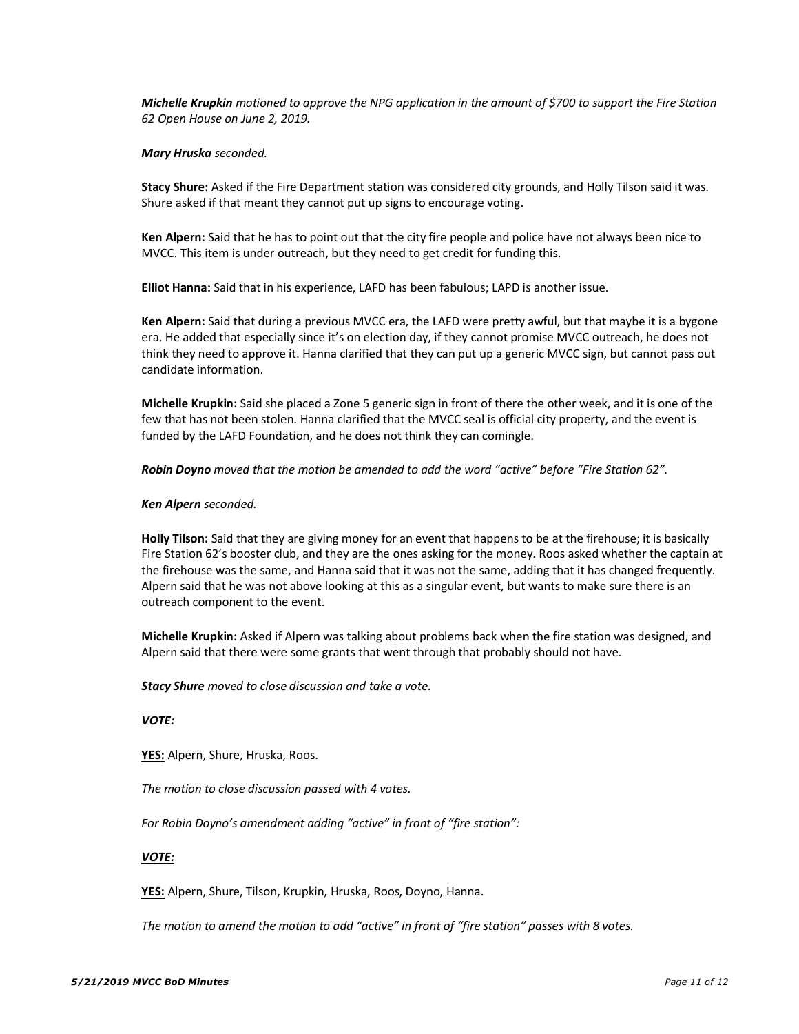*Michelle Krupkin motioned to approve the NPG application in the amount of \$700 to support the Fire Station 62 Open House on June 2, 2019.*

#### *Mary Hruska seconded.*

**Stacy Shure:** Asked if the Fire Department station was considered city grounds, and Holly Tilson said it was. Shure asked if that meant they cannot put up signs to encourage voting.

**Ken Alpern:** Said that he has to point out that the city fire people and police have not always been nice to MVCC. This item is under outreach, but they need to get credit for funding this.

**Elliot Hanna:** Said that in his experience, LAFD has been fabulous; LAPD is another issue.

**Ken Alpern:** Said that during a previous MVCC era, the LAFD were pretty awful, but that maybe it is a bygone era. He added that especially since it's on election day, if they cannot promise MVCC outreach, he does not think they need to approve it. Hanna clarified that they can put up a generic MVCC sign, but cannot pass out candidate information.

**Michelle Krupkin:** Said she placed a Zone 5 generic sign in front of there the other week, and it is one of the few that has not been stolen. Hanna clarified that the MVCC seal is official city property, and the event is funded by the LAFD Foundation, and he does not think they can comingle.

*Robin Doyno moved that the motion be amended to add the word "active" before "Fire Station 62".*

## *Ken Alpern seconded.*

**Holly Tilson:** Said that they are giving money for an event that happens to be at the firehouse; it is basically Fire Station 62's booster club, and they are the ones asking for the money. Roos asked whether the captain at the firehouse was the same, and Hanna said that it was not the same, adding that it has changed frequently. Alpern said that he was not above looking at this as a singular event, but wants to make sure there is an outreach component to the event.

**Michelle Krupkin:** Asked if Alpern was talking about problems back when the fire station was designed, and Alpern said that there were some grants that went through that probably should not have.

*Stacy Shure moved to close discussion and take a vote.*

## *VOTE:*

**YES:** Alpern, Shure, Hruska, Roos.

*The motion to close discussion passed with 4 votes.* 

*For Robin Doyno's amendment adding "active" in front of "fire station":*

#### *VOTE:*

**YES:** Alpern, Shure, Tilson, Krupkin, Hruska, Roos, Doyno, Hanna.

*The motion to amend the motion to add "active" in front of "fire station" passes with 8 votes.*